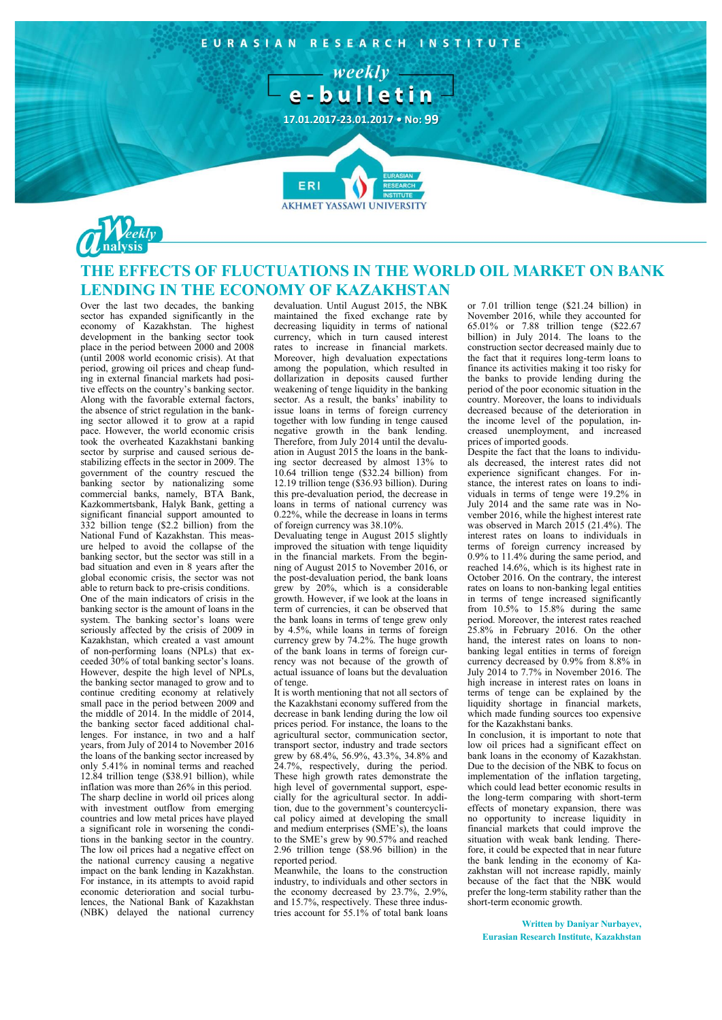EURASIAN RESEARCH INSTITUTE  $weakly =$ e-bulletin **17.01.2017-23.01.2017 • No: 99** ERI **AKHMET YASSAWI UNIVERSITY** 



## **THE EFFECTS OF FLUCTUATIONS IN THE WORLD OIL MARKET ON BANK LENDING IN THE ECONOMY OF KAZAKHSTAN**

Over the last two decades, the banking sector has expanded significantly in the economy of Kazakhstan. The highest development in the banking sector took place in the period between 2000 and 2008 (until 2008 world economic crisis). At that period, growing oil prices and cheap funding in external financial markets had positive effects on the country's banking sector. Along with the favorable external factors, the absence of strict regulation in the banking sector allowed it to grow at a rapid pace. However, the world economic crisis took the overheated Kazakhstani banking sector by surprise and caused serious destabilizing effects in the sector in 2009. The government of the country rescued the banking sector by nationalizing some commercial banks, namely, BTA Bank, Kazkommertsbank, Halyk Bank, getting a significant financial support amounted to 332 billion tenge (\$2.2 billion) from the National Fund of Kazakhstan. This measure helped to avoid the collapse of the banking sector, but the sector was still in a bad situation and even in 8 years after the global economic crisis, the sector was not able to return back to pre-crisis conditions. One of the main indicators of crisis in the banking sector is the amount of loans in the system. The banking sector's loans were seriously affected by the crisis of 2009 in Kazakhstan, which created a vast amount of non-performing loans (NPLs) that exceeded 30% of total banking sector's loans. However, despite the high level of NPLs, the banking sector managed to grow and to continue crediting economy at relatively small pace in the period between 2009 and the middle of 2014. In the middle of 2014, the banking sector faced additional challenges. For instance, in two and a half years, from July of 2014 to November 2016 the loans of the banking sector increased by only 5.41% in nominal terms and reached 12.84 trillion tenge (\$38.91 billion), while inflation was more than 26% in this period. The sharp decline in world oil prices along with investment outflow from emerging countries and low metal prices have played a significant role in worsening the conditions in the banking sector in the country. The low oil prices had a negative effect on the national currency causing a negative impact on the bank lending in Kazakhstan. For instance, in its attempts to avoid rapid economic deterioration and social turbulences, the National Bank of Kazakhstan (NBK) delayed the national currency

devaluation. Until August 2015, the NBK maintained the fixed exchange rate by decreasing liquidity in terms of national currency, which in turn caused interest rates to increase in financial markets. Moreover, high devaluation expectations among the population, which resulted in dollarization in deposits caused further weakening of tenge liquidity in the banking sector. As a result, the banks' inability to issue loans in terms of foreign currency together with low funding in tenge caused negative growth in the bank lending. Therefore, from July 2014 until the devaluation in August 2015 the loans in the banking sector decreased by almost 13% to 10.64 trillion tenge (\$32.24 billion) from 12.19 trillion tenge (\$36.93 billion). During this pre-devaluation period, the decrease in loans in terms of national currency was 0.22%, while the decrease in loans in terms of foreign currency was 38.10%.

Devaluating tenge in August 2015 slightly improved the situation with tenge liquidity in the financial markets. From the beginning of August 2015 to November 2016, or the post-devaluation period, the bank loans grew by 20%, which is a considerable growth. However, if we look at the loans in term of currencies, it can be observed that the bank loans in terms of tenge grew only by 4.5%, while loans in terms of foreign currency grew by 74.2%. The huge growth of the bank loans in terms of foreign currency was not because of the growth of actual issuance of loans but the devaluation of tenge.

It is worth mentioning that not all sectors of the Kazakhstani economy suffered from the decrease in bank lending during the low oil prices period. For instance, the loans to the agricultural sector, communication sector, transport sector, industry and trade sectors grew by 68.4%, 56.9%, 43.3%, 34.8% and 24.7%, respectively, during the period. These high growth rates demonstrate the high level of governmental support, especially for the agricultural sector. In addition, due to the government's countercyclical policy aimed at developing the small and medium enterprises (SME's), the loans to the SME's grew by 90.57% and reached 2.96 trillion tenge (\$8.96 billion) in the reported period.

Meanwhile, the loans to the construction industry, to individuals and other sectors in the economy decreased by 23.7%, 2.9%, and 15.7%, respectively. These three industries account for 55.1% of total bank loans

or 7.01 trillion tenge (\$21.24 billion) in November 2016, while they accounted for 65.01% or 7.88 trillion tenge (\$22.67 billion) in July 2014. The loans to the construction sector decreased mainly due to the fact that it requires long-term loans to finance its activities making it too risky for the banks to provide lending during the period of the poor economic situation in the country. Moreover, the loans to individuals decreased because of the deterioration in the income level of the population, increased unemployment, and increased prices of imported goods.

Despite the fact that the loans to individuals decreased, the interest rates did not experience significant changes. For instance, the interest rates on loans to individuals in terms of tenge were 19.2% in July 2014 and the same rate was in November 2016, while the highest interest rate was observed in March 2015 (21.4%). The interest rates on loans to individuals in terms of foreign currency increased by 0.9% to 11.4% during the same period, and reached 14.6%, which is its highest rate in October 2016. On the contrary, the interest rates on loans to non-banking legal entities in terms of tenge increased significantly from 10.5% to 15.8% during the same period. Moreover, the interest rates reached 25.8% in February 2016. On the other hand, the interest rates on loans to nonbanking legal entities in terms of foreign currency decreased by 0.9% from 8.8% in July 2014 to 7.7% in November 2016. The high increase in interest rates on loans in terms of tenge can be explained by the liquidity shortage in financial markets, which made funding sources too expensive for the Kazakhstani banks.

In conclusion, it is important to note that low oil prices had a significant effect on bank loans in the economy of Kazakhstan. Due to the decision of the NBK to focus on implementation of the inflation targeting, which could lead better economic results in the long-term comparing with short-term effects of monetary expansion, there was no opportunity to increase liquidity in financial markets that could improve the situation with weak bank lending. Therefore, it could be expected that in near future the bank lending in the economy of Kazakhstan will not increase rapidly, mainly because of the fact that the NBK would prefer the long-term stability rather than the short-term economic growth.

**Written by Daniyar Nurbayev, Eurasian Research Institute, Kazakhstan**